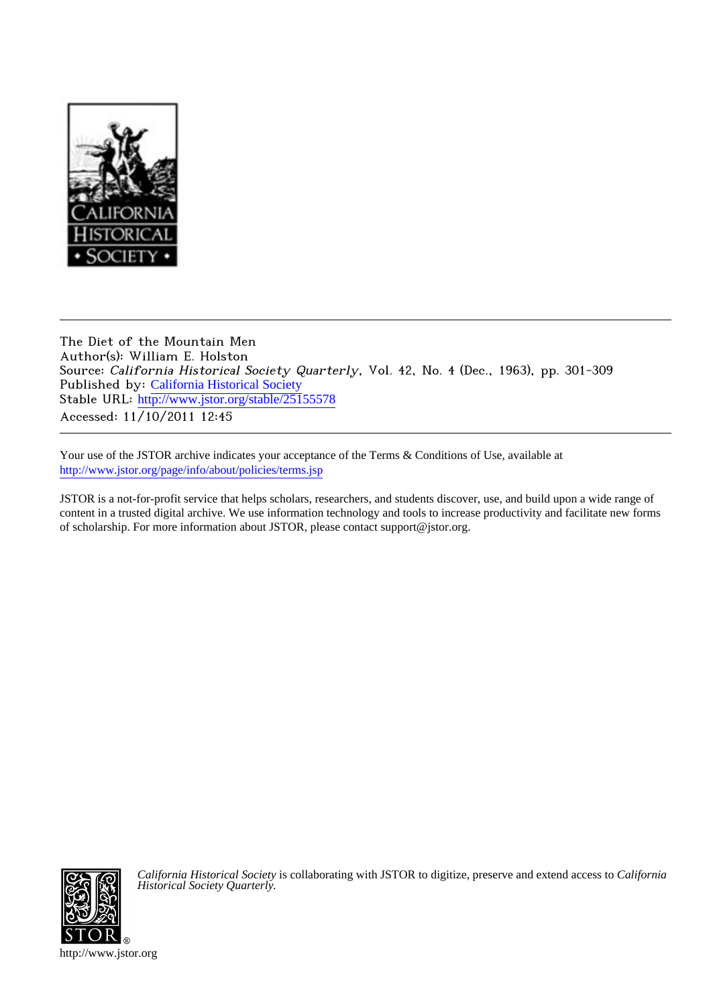

The Diet of the Mountain Men Author(s): William E. Holston Source: California Historical Society Quarterly, Vol. 42, No. 4 (Dec., 1963), pp. 301-309 Published by: [California Historical Society](http://www.jstor.org/action/showPublisher?publisherCode=chs) Stable URL: http://www.jstor.org/stable/25155578 Accessed: 11/10/2011 12:45

Your use of the JSTOR archive indicates your acceptance of the Terms & Conditions of Use, available at <http://www.jstor.org/page/info/about/policies/terms.jsp>

JSTOR is a not-for-profit service that helps scholars, researchers, and students discover, use, and build upon a wide range of content in a trusted digital archive. We use information technology and tools to increase productivity and facilitate new forms of scholarship. For more information about JSTOR, please contact support@jstor.org.



*California Historical Society* is collaborating with JSTOR to digitize, preserve and extend access to *California Historical Society Quarterly.*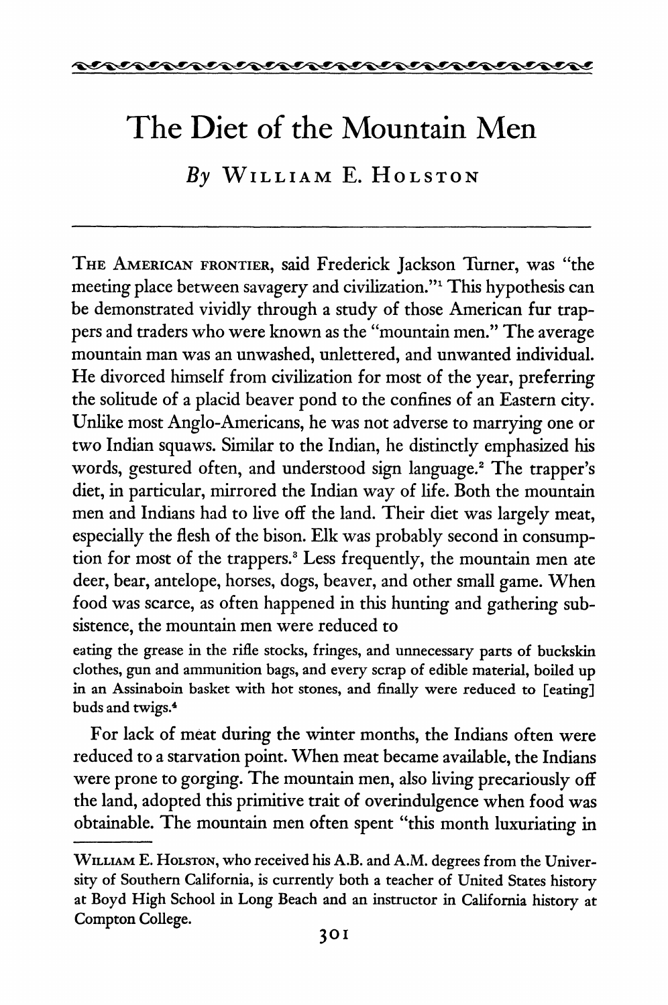

# **The Diet of the Mountain Men**

**By William E. Holston** 

**The American frontier, said Frederick Jackson Turner, was "the meeting place between savagery and civilization."1 This hypothesis can**  be demonstrated vividly through a study of those American fur trap**pers and traders who were known as the "mountain men." The average mountain man was an unwashed, unlettered, and unwanted individual. He divorced himself from civilization for most of the year, preferring the solitude of a placid beaver pond to the confines of an Eastern city. Unlike most Anglo-Americans, he was not adverse to marrying one or two Indian squaws. Similar to the Indian, he distinctly emphasized his words, gestured often, and understood sign language.2 The trapper's diet, in particular, mirrored the Indian way of life. Both the mountain men and Indians had to live off the land. Their diet was largely meat, especially the flesh of the bison. Elk was probably second in consump tion for most of the trappers.3 Less frequently, the mountain men ate deer, bear, antelope, horses, dogs, beaver, and other small game. When food was scarce, as often happened in this hunting and gathering sub sistence, the mountain men were reduced to** 

**eating the grease in the rifle stocks, fringes, and unnecessary parts of buckskin clothes, gun and ammunition bags, and every scrap of edible material, boiled up in an Assinaboin basket with hot stones, and finally were reduced to [eating] buds and twigs.4** 

**For lack of meat during the winter months, the Indians often were reduced to a starvation point. When meat became available, the Indians**  were prone to gorging. The mountain men, also living precariously of  $\mathbf{r}$ . the land, adopted this primitive trait of overinduigence when food w **obtainable. The mountain men often spent "this month luxuriating in** 

**William E. Holston, who received his A.B. and A.M. degrees from the Univer sity of Southern California, is currently both a teacher of United States history at Boyd High School in Long Beach and an instructor in California history at Compton College.**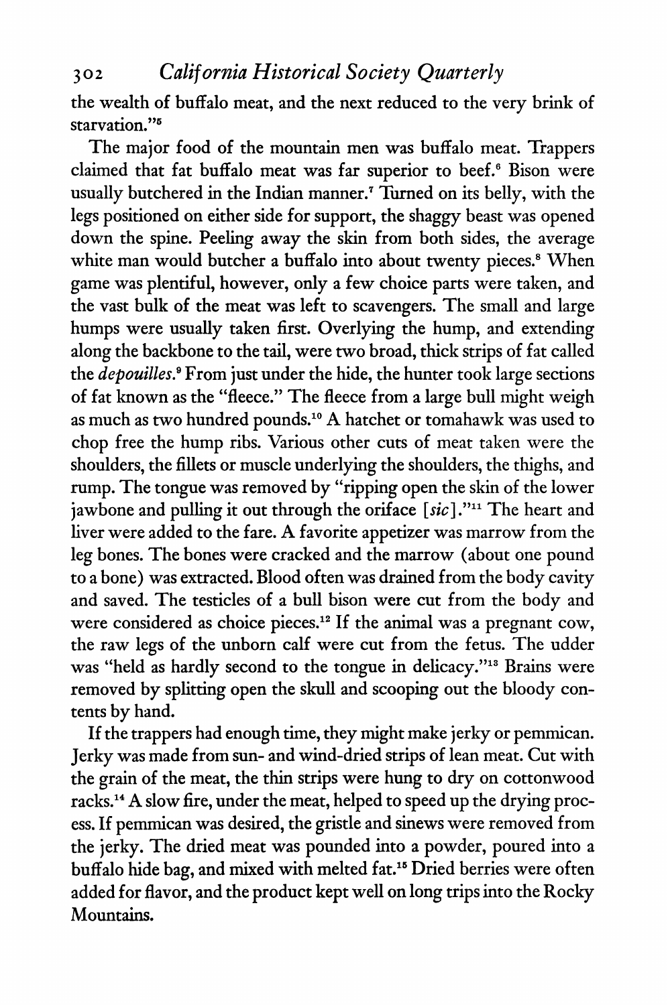**302 California Historical Society Quarterly** 

**the wealth of buffalo meat, and the next reduced to the very brink of starvation."5** 

**The major food of the mountain men was buffalo meat. Trappers claimed that fat buffalo meat was far superior to beef.6 Bison were usually butchered in the Indian manner.7 Turned on its belly, with the legs positioned on either side for support, the shaggy beast was opened down the spine. Peeling away the skin from both sides, the average**  white man would butcher a buffalo into about twenty pieces.<sup>8</sup> When **game was plentiful, however, only a few choice parts were taken, and the vast bulk of the meat was left to scavengers. The small and large humps were usually taken first. Overlying the hump, and extending along the backbone to the tail, were two broad, thick strips of fat called the depouilles.9 From just under the hide, the hunter took large sections of fat known as the "fleece." The fleece from a large bull might weigh as much as two hundred pounds.10 A hatchet or tomahawk was used to chop free the hump ribs. Various other cuts of meat taken were the shoulders, the fillets or muscle underlying the shoulders, the thighs, and rump. The tongue was removed by "ripping open the skin of the lower jawbone and pulling it out through the oriface [sic]."11 The heart and liver were added to the fare. A favorite appetizer was marrow from the leg bones. The bones were cracked and the marrow (about one pound to a bone) was extracted. Blood often was drained from the body cavity and saved. The testicles of a bull bison were cut from the body and were considered as choice pieces.12 If the animal was a pregnant cow, the raw legs of the unborn calf were cut from the fetus. The udder was "held as hardly second to the tongue in delicacy."13 Brains were removed by splitting open the skull and scooping out the bloody con tents by hand.** 

**If the trappers had enough time, they might make jerky or pemmican. Jerky was made from sun- and wind-dried strips of lean meat. Cut with the grain of the meat, the thin strips were hung to dry on cottonwood**  racks.<sup>14</sup> A slow fire, under the meat, helped to speed up the drying proc**ess. If pemmican was desired, the gristle and sinews were removed from the jerky. The dried meat was pounded into a powder, poured into a buffalo hide bag, and mixed with melted fat.15 Dried berries were often added for flavor, and the product kept well on long trips into the Rocky Mountains.**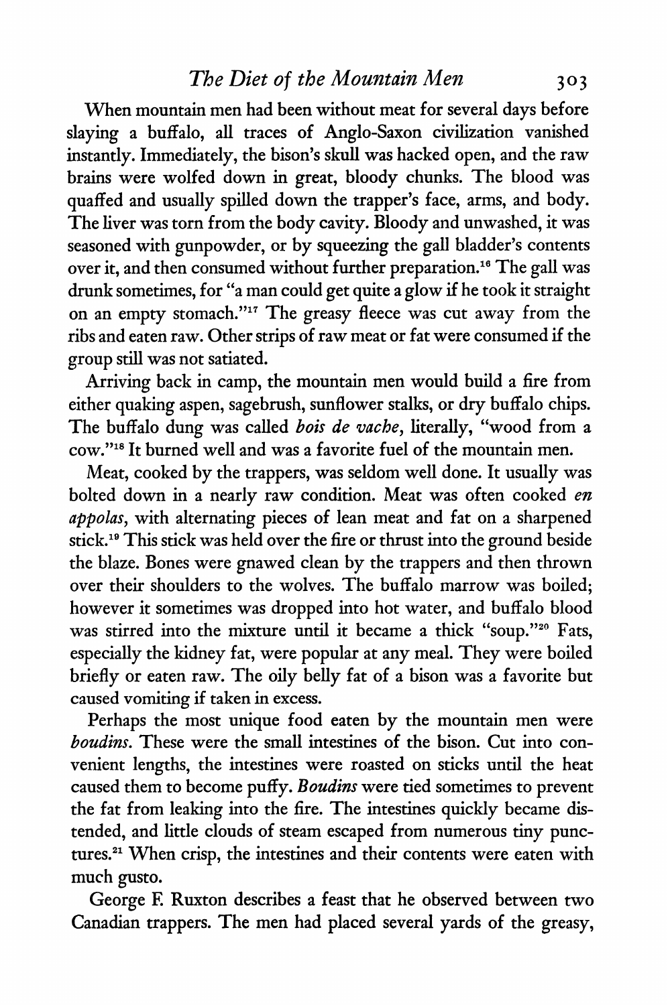### **The Diet of the Mountain Men** 303

**When mountain men had been without meat for several days before slaying a buffalo, all traces of Anglo-Saxon civilization vanished instantly. Immediately, the bison's skull was hacked open, and the raw brains were wolfed down in great, bloody chunks. The blood was quaffed and usually spilled down the trapper's face, arms, and body. The liver was torn from the body cavity. Bloody and unwashed, it was seasoned with gunpowder, or by squeezing the gall bladder's contents over it, and then consumed without further preparation.16 The gall was drunk sometimes, for "a man could get quite a glow if he took it straight on an empty stomach.** The greasy fleece was cut away from the  $\alpha$ **ribs and eaten raw. Other strips of raw meat or fat were consumed if the group still was not satiated.** 

**Arriving back in camp, the mountain men would build a fire from either quaking aspen, sagebrush, sunflower stalks, or dry buffalo chips.**  The buffalo dung was called *bois de vache*, literally, "wood from a **cow."18 It burned well and was a favorite fuel of the mountain men.** 

**Meat, cooked by the trappers, was seldom well done. It usually was bolted down in a nearly raw condition. Meat was often cooked en appolas, with alternating pieces of lean meat and fat on a sharpened stick.19 This stick was held over the fire or thrust into the ground beside the blaze. Bones were gnawed clean by the trappers and then thrown over their shoulders to the wolves. The buffalo marrow was boiled; however it sometimes was dropped into hot water, and buffalo blood was stirred into the mixture until it became a thick "soup."20 Fats, especially the kidney fat, were popular at any meal. They were boiled at**  $\frac{1}{2}$ **briefly or eaten raw. The oily belly fat of a bison was a favorite but caused vomiting if taken in excess.** 

**Perhaps the most unique food eaten by the mountain men were boudins.** These were the small intestines of the bison. Cut into con**venient lengths, the intestines were roasted on sticks until the heat caused them to become puffy. Boudins were tied sometimes to prevent the fat from leaking into the fire. The intestines quickly became dis tended, and little clouds of steam escaped from numerous tiny punc tures.21 When crisp, the intestines and their contents were eaten with much gusto.** 

**George F. Ruxton describes a feast that he observed between two Canadian trappers. The men had placed several yards of the greasy,**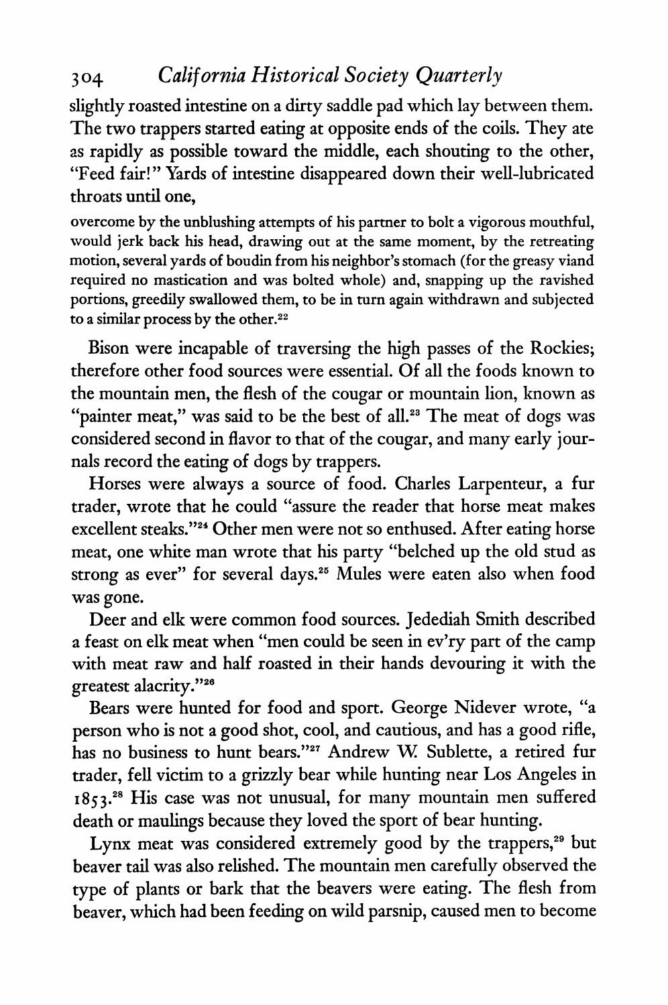# **304 California Historical Society Quarterly**

**slightly roasted intestine on a dirty saddle pad which lay between them. The two trappers started eating at opposite ends of the coils. They ate as rapidly as possible toward the middle, each shouting to the other, "Feed fair!" Yards of intestine disappeared down their well-lubricated throats until one,** 

**overcome by the unblushing attempts of his partner to bolt a vigorous mouthful, would jerk back his head, drawing out at the same moment, by the retreating motion, several yards of boudin from his neighbor's stomach (for the greasy viand required no mastication and was bolted whole) and, snapping up the ravished portions, greedily swallowed them, to be in turn again withdrawn and subjected to a similar process by the other.** 

**Bison were incapable of traversing the high passes of the Rockies; therefore other food sources were essential. Of all the foods known to**  the mountain men, the flesh of the cougar or mountain lion, known as "painter meat," was said to be the best of all.<sup>23</sup> The meat of dogs was **considered second in flavor to that of the cougar, and many early jour nals record the eating of dogs by trappers.** 

**Horses were always a source of food. Charles Larpenteur, a fur trader, wrote that he could "assure the reader that horse meat makes excellent steaks."24 Other men were not so enthused. After eating horse meat, one white man wrote that his party "belched up the old stud as strong as ever" for several days.25 Mules were eaten also when food**  was gone.

**gone. Deer and elk were common food sources. Jedediah Smith described a feast on elk meat when "men could be seen in ev'ry part of the camp with meat raw and half roasted in their hands devouring it with the** 

**greatest alacrity."26 Bears were nunted for food and sport. George Nidever wrote, a person who is not a good shot, cool, and cautious, and has a good rifle, has no business to hunt bears."27 Andrew W Sublette, a retired fur trader, fell victim to a grizzly bear while hunting near Los Angeles in 1853.28 His case was not unusual, for many mountain men suffered death or maulings because they loved the sport of bear hunting.** 

Lynx meat was considered extremely good by the trappers,<sup>29</sup> but **beaver tail was also relished. The mountain men carefully observed the type of plants or bark that the beavers were eating. The flesh from beaver, which had been feeding on wild parsnip, caused men to become**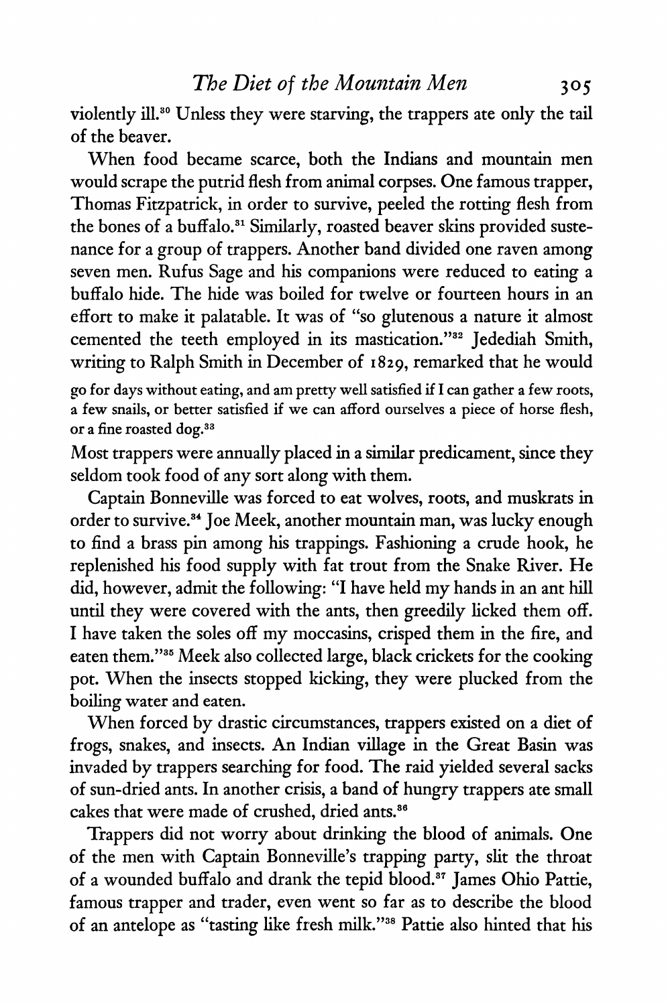**violently ill.30 Unless they were starving, the trappers ate only the tail of the beaver.** 

**When food became scarce, both the Indians and mountain men would scrape the putrid flesh from animal corpses. One famous trapper, Thomas Fitzpatrick, in order to survive, peeled the rotting flesh from the bones of a buffalo.31 Similarly, roasted beaver skins provided suste**  nance for a group of trappers. Another band divided one rave **among seven men. Rufus Sage and his companions were reduced to eating a buffalo hide. The hide was boiled for twelve or fourteen hours in an effort to make it palatable. It was of "so glutenous a nature it almost cemented the teeth employed in its mastication."32 Jedediah Smith, writing to Ralph Smith in December of 1829, remarked that he would** 

**go for days without eating, and am pretty well satisfied if I can gather a few roots, a few snails, or better satisfied if we can afford ourselves a piece of horse flesh, or a fine roasted dog.33** 

**Most trappers were annually placed in a similar predicament, since they seldom took food of any sort along with them.** 

**Captain Bonneville was forced to eat wolves, roots, and muskrats in order to survive.34 Joe Meek, another mountain man, was lucky enough to find a brass pin among his trappings. Fashioning a crude hook, he replenished his food supply with fat trout from the Snake River. He did, however, admit the following: "I have held my hands in an ant hill until they were covered with the ants, then greedily licked them off. I have taken the soles off my moccasins, crisped them in the fire, and eaten them."35 Meek also collected large, black crickets for the cooking pot. When the insects stopped kicking, they were plucked from the boiling water and eaten.** 

**When forced by drastic circumstances, trappers existed on a diet of frogs, snakes, and insects. An Indian village in the Great Basin was invaded by trappers searching for food. The raid yielded several sacks of sun-dried ants. In another crisis, a band of hungry trappers ate small cakes that were made of crushed, dried ants.36** 

**Trappers did not worry about drinking the blood of animals. One of the men with Captain Bonneville's trapping party, slit the throat**  of a wounded buffalo and drank the tepid blood.<sup>87</sup> James Ohio Pattie, **famous trapper and trader, even went so far as to describe the blood of an antelope as "tasting like fresh milk."38 Pattie also hinted that his**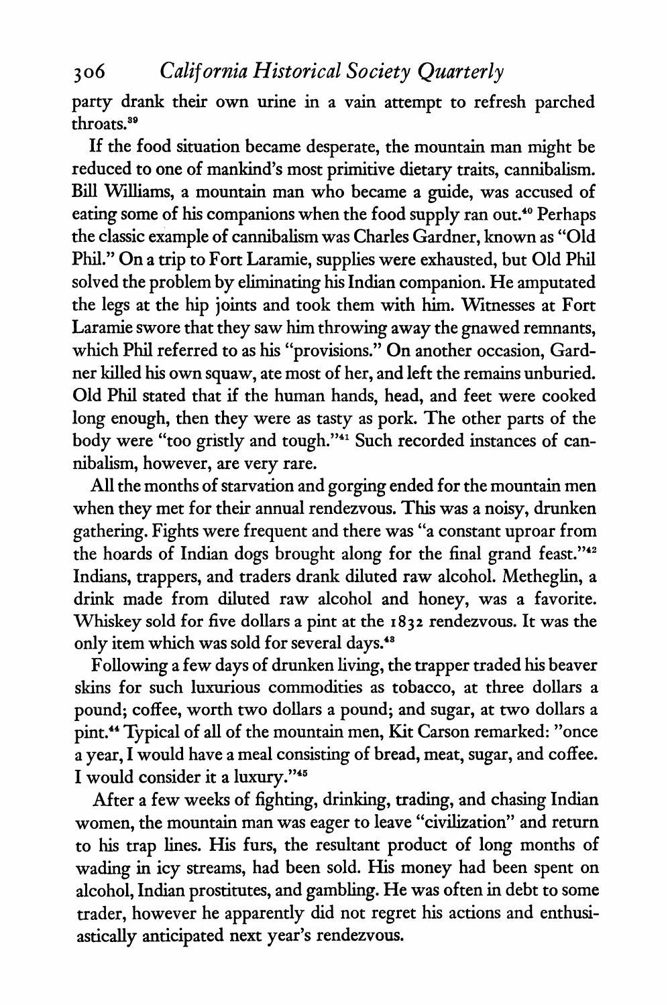**party drank their own urine in a vain attempt to refresh parched throats.89** 

**If the food situation became desperate, the mountain man might be reduced to one of mankind's most primitive dietary traits, cannibalism. Bill Williams, a mountain man who became a guide, was accused of eating some of his companions when the food supply ran out.40 Perhaps the classic example of cannibalism was Charles Gardner, known as "Old Phil." On a trip to Fort Laramie, supplies were exhausted, but Old Phil solved the problem by eliminating his Indian companion. He amputated the legs at the hip joints and took them with him. Witnesses at Fort Laramie swore that they saw him throwing away the gnawed remnants, which Phil referred to as his "provisions." On another occasion, Gard ner killed his own squaw, are most of her, and left the remains unburied.**  $\frac{1}{2}$ **Old Phil stated that if the human hands, head, and feet were cooked long enough, then they were as tasty as pork. The other parts of the**  body were "too gristly and tough."<sup>41</sup> Such recorded instances of can**nibalism, however, are very rare** 

**very All the months of starvation and gorging ended for the mountain men when they met for their annual rendezvous. This was a noisy, drunken gathering. Fights were frequent and there was "a constant uproar from**  $\mathbf{u} = \mathbf{u} \cdot \mathbf{v}$ **the hoards of Indian dogs brought along for the final grand feast."42 Indians, trappers, and traders drank diluted raw alcohol. Metheglin, a drink made from diluted raw alcohol and honey, was a favorite. Whiskey sold for five dollars a pint at the 1832 rendezvous. It was the only item which was sold for several days.48** 

**Following a few days of drunken living, the trapper traded his beaver skins for such luxurious commodities as tobacco, at three dollars a pound; coffee, worth two dollars a pound; and sugar, at two dollars a pint.44 Typical of all of the mountain men, Kit Carson remarked: "once**  a year, **I** would have a meal consisting of bread, meat, sugar, and coffee. **I would consider it a luxury."45** 

**After a few weeks of fighting, drinking, trading, and chasing Indian**  women, the mountain man was eager to leave civilization and return and return **and return and return and return and return and return and return and return and return and return and return and return and return and return to his trap lines. His furs, the resultant product of long months of wading in icy streams, had been sold. His money had been spent on alcohol, Indian prostitutes, and gambling. He was often in debt to some**  trader, however he apparently did not regret his actions and enthusi**astically anticipated next year's rendezvous.**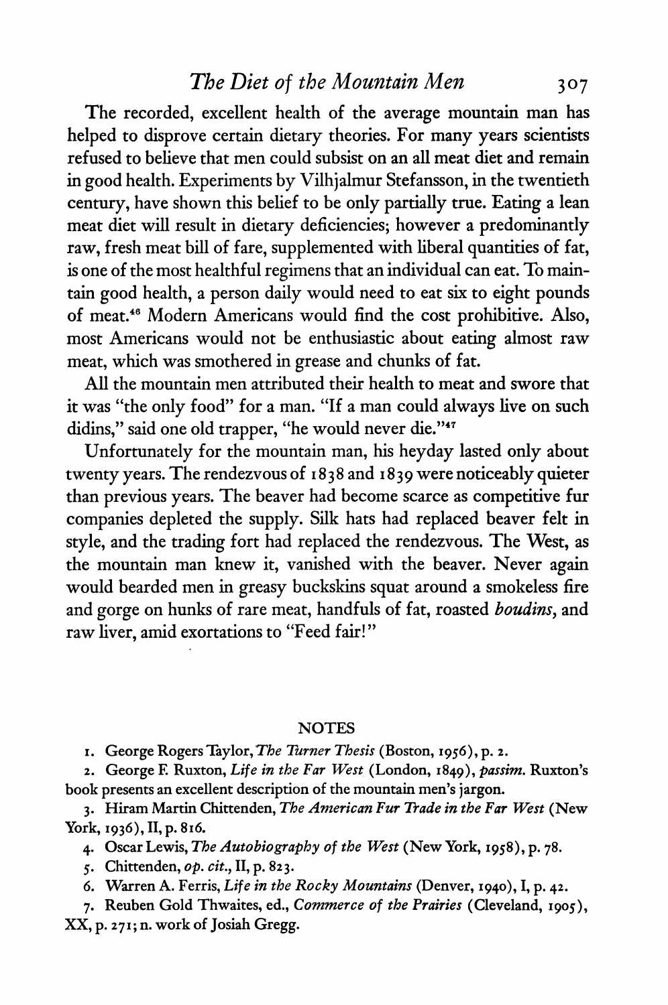## **The Diet of the Mountain Men** 307

**The recorded, excellent health of the average mountain man has helped to disprove certain dietary theories. For many years scientists refused to believe that men could subsist on an all meat diet and remain in good health. Experiments by Vilhjalmur Stefansson, in the twentieth century, have shown this belief to be only partially true. Eating a lean meat diet will result in dietary deficiencies; however a predominantly raw, fresh meat bill of fare, supplemented with liberal quantities of fat, is one of the most healthful regimens that an individual can eat. To main tain good health, a person daily would heed to eat six to eight pound of meat.46 Modern Americans would find the cost prohibitive. Also, most Americans would not be enthusiastic about eating almost raw meat, which was smothered in grease and chunks of fat.** 

**All the mountain men attributed their health to meat and swore that it was "the only food" for a man. "If a man could always live on such didins," said one old trapper, "he would never die."47** 

**Unfortunately for the mountain man, his heyday lasted only about twenty years. The rendezvous of 18 3 8 and 1839 were noticeably quieter than previous years. The beaver had become scarce as competitive fur companies depleted the supply. Silk hats had replaced beaver felt in style, and the trading fort had replaced the rendezvous. The West, as the mountain man knew it, vanished with the beaver. Never again would bearded men in greasy buckskins squat around a smokeless fire**  and gorge on hunks of rare meat, handfuls of fat, roasted *bouains*, and **raw liver, amid exortations to "Feed fair!"** 

#### **NOTES**

**i. George Rogers Taylor, The Turner Thesis (Boston, 1956), p. 2.** 

**2. George E Ruxton, Life in the Far West (London, 1849), Passim. Ruxton's book presents an excellent description of the mountain men's jargon.** 

**3. Hiram Martin Chittenden, The American Fur Trade in the Far West (New York, 1936), II, p. 816.** 

**4. Oscar Lewis, The Autobiography of the West (New York, 1958), p. 78.** 

**5. Chittenden, op. cit., II, p. 823.** 

**6. Warren A. Ferris, Life in the Rocky Mountains (Denver, 1940), I, p. 42.** 

**7. Reuben Gold Thwaites, ed., Commerce of the Prairies (Cleveland, 1905), XX, p. 271; n. work of Josiah Gregg.**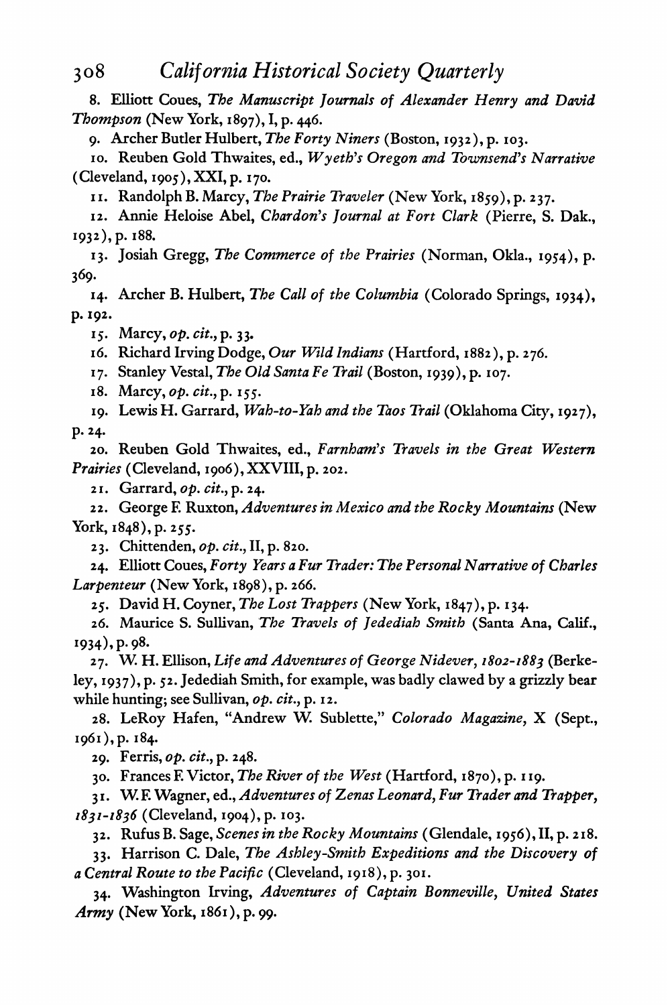**8. Elliott Coues, The Manuscript Journals of Alexander Henry and David Thompson (New York, 1897), I, p. 446.** 

**9. Archer Butler Hulbert, The Forty Niners (Boston, 1932), p. 103.** 

10. Reuben Gold Thwaites, ed., *Wyeth's Oregon and Townsend's Narrative* **(Cleveland, 1905), XXI, p. 170.** 

**11. Randolph B. Marcy, The Prairie Traveler (New York, 1859), p. 2 37.** 

**12. Annie Heloise Abel, Chardon's Journal at Fort Clark (Pierre, S. Dak., 1932), p. 188.** 

**13. Josiah Gregg, The Commerce of the Prairies (Norman, Okla., 1954), p. 369.** 

**14. Archer B. Hulbert, The Call of the Columbia (Colorado Springs, 1934), p. 192.** 

**15. Marcy, op. cit., p. 3 3.** 

**16. Richard Irving Dodge, Our Wild Indians (Hartford, 1882), p. 276.** 

**17. Stanley Vestal, The Old Santa Fe Trail (Boston, 1939), p. 107.** 

**18. Marcy, op. cit., p. 155.** 

**19. Lewis H. Garrard, Wah-to-Yah and the Taos Trail (Oklahoma City, 1927), p. 24.** 

**20. Reuben Gold Thwaites, ed., Farnham's Travels in the Great Western Prairies (Cleveland, 1906),XXVIII, p. 202.** 

**21. Garrard, op. cit., p. 24.** 

**22. George E Ruxton, Adventures in Mexico and the Rocky Mountains (New York, 1848), p.255.** 

23. Chittenden, *op. cu.*, **11**, p. 82

**24. Elliott Coues, Forty Years a Fur Trader: The Personal Narrative of Charles Larpenteur (New York, 1898), p. 266.** 

**25. David H. Coyner, The Lost Trappers (New York, 1847), p. 134.** 

**26. Maurice S. Sullivan, The Travels of Jedediah Smith (Santa Ana, Calif.,**  1934), p. 98.

**27. W. H. Ellison, Life and Adventures of George Nidever, 1802-1883 (Berke ley, 1937), p. 52. Jedediah Smith, for example, was badly clawed by a grizzly bear**  *while nunting***;** *see Sullivan, op. cit.***, p. 12** 

**28. LeRoy Hafen, "Andrew W. Sublette," Colorado Magazine, X (Sept., i96i),p. 184.** 

**29. Ferris, op. cit., p. 248.** 

**30. Frances E Victor, The River of the West (Hartford, 1870), p. 119.** 

**31. W. F. Wagner, ed., Adventures of Zenas Leonard, Fur Trader and Trapper, 1831-1836 (Cleveland, 1904)^. 103.** 

**3 2. Rufus B. Sage, Scenes in the Rocky Mountains ( Glendale, 1956), II, p. 218.** 

**33. Harrison C. Dale, The Ashley-Smith Expeditions and the Discovery of a Central Route to the Pacific (Cleveland, 1918), p. 301.** 

**34. Washington Irving, Adventures of Captain Bonneville, United States Army (New York, 1861), p. 99.**